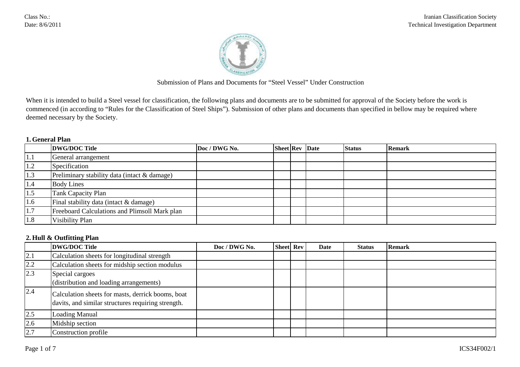

Submission of Plans and Documents for "Steel Vessel" Under Construction

When it is intended to build a Steel vessel for classification, the following plans and documents are to be submitted for approval of the Society before the work is commenced (in according to "Rules for the Classification of Steel Ships"). Submission of other plans and documents than specified in bellow may be required where deemed necessary by the Society.

### **1. General Plan**

|     | <b>DWG/DOC Title</b>                          | Doc / DWG No. | <b>Sheet Rev</b> Date |  | <b>Status</b> | <b>Remark</b> |
|-----|-----------------------------------------------|---------------|-----------------------|--|---------------|---------------|
| 1.1 | General arrangement                           |               |                       |  |               |               |
| 1.2 | Specification                                 |               |                       |  |               |               |
| 1.3 | Preliminary stability data (intact & damage)  |               |                       |  |               |               |
| 1.4 | <b>Body Lines</b>                             |               |                       |  |               |               |
| 1.5 | Tank Capacity Plan                            |               |                       |  |               |               |
| 1.6 | Final stability data (intact & damage)        |               |                       |  |               |               |
| 1.7 | Freeboard Calculations and Plimsoll Mark plan |               |                       |  |               |               |
| 1.8 | Visibility Plan                               |               |                       |  |               |               |

#### **2. Hull & Outfitting Plan**

|     | <b>DWG/DOC Title</b>                                                                                    | Doc / DWG No. | <b>Sheet</b> Rev | Date | <b>Status</b> | <b>Remark</b> |
|-----|---------------------------------------------------------------------------------------------------------|---------------|------------------|------|---------------|---------------|
| 2.1 | Calculation sheets for longitudinal strength                                                            |               |                  |      |               |               |
| 2.2 | Calculation sheets for midship section modulus                                                          |               |                  |      |               |               |
| 2.3 | Special cargoes<br>(distribution and loading arrangements)                                              |               |                  |      |               |               |
| 2.4 | Calculation sheets for masts, derrick booms, boat<br>davits, and similar structures requiring strength. |               |                  |      |               |               |
| 2.5 | Loading Manual                                                                                          |               |                  |      |               |               |
| 2.6 | Midship section                                                                                         |               |                  |      |               |               |
| 2.7 | Construction profile                                                                                    |               |                  |      |               |               |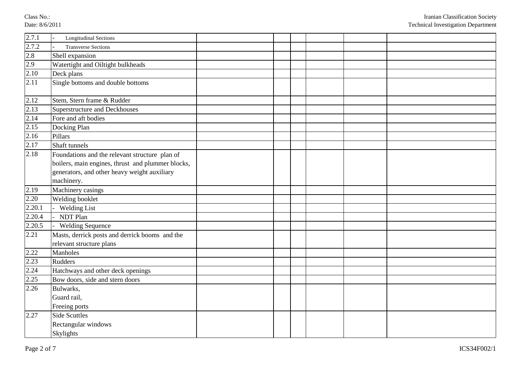Class N o.: Date: 8/6/2011

| 2.7.1  | <b>Longitudinal Sections</b>                                                                                                                                      |  |  |  |
|--------|-------------------------------------------------------------------------------------------------------------------------------------------------------------------|--|--|--|
| 2.7.2  | <b>Transverse Sections</b>                                                                                                                                        |  |  |  |
| 2.8    | Shell expansion                                                                                                                                                   |  |  |  |
| 2.9    | Watertight and Oiltight bulkheads                                                                                                                                 |  |  |  |
| 2.10   | Deck plans                                                                                                                                                        |  |  |  |
| 2.11   | Single bottoms and double bottoms                                                                                                                                 |  |  |  |
| 2.12   | Stem, Stern frame & Rudder                                                                                                                                        |  |  |  |
| 2.13   | Superstructure and Deckhouses                                                                                                                                     |  |  |  |
| 2.14   | Fore and aft bodies                                                                                                                                               |  |  |  |
| 2.15   | Docking Plan                                                                                                                                                      |  |  |  |
| 2.16   | Pillars                                                                                                                                                           |  |  |  |
| 2.17   | Shaft tunnels                                                                                                                                                     |  |  |  |
| 2.18   | Foundations and the relevant structure plan of<br>boilers, main engines, thrust and plummer blocks,<br>generators, and other heavy weight auxiliary<br>machinery. |  |  |  |
| 2.19   | Machinery casings                                                                                                                                                 |  |  |  |
| 2.20   | Welding booklet                                                                                                                                                   |  |  |  |
| 2.20.1 | <b>Welding List</b>                                                                                                                                               |  |  |  |
| 2.20.4 | NDT Plan                                                                                                                                                          |  |  |  |
| 2.20.5 | <b>Welding Sequence</b>                                                                                                                                           |  |  |  |
| 2.21   | Masts, derrick posts and derrick booms and the<br>relevant structure plans                                                                                        |  |  |  |
| 2.22   | Manholes                                                                                                                                                          |  |  |  |
| 2.23   | <b>Rudders</b>                                                                                                                                                    |  |  |  |
| 2.24   | Hatchways and other deck openings                                                                                                                                 |  |  |  |
| 2.25   | Bow doors, side and stern doors                                                                                                                                   |  |  |  |
| 2.26   | Bulwarks,<br>Guard rail,<br>Freeing ports                                                                                                                         |  |  |  |
| 2.27   | <b>Side Scuttles</b><br>Rectangular windows<br>Skylights                                                                                                          |  |  |  |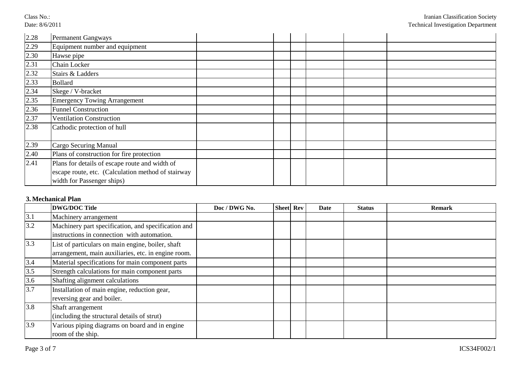Class No.: Date: 8/6/2011

| 2.28 | <b>Permanent Gangways</b>                                                                                                          |  |  |  |
|------|------------------------------------------------------------------------------------------------------------------------------------|--|--|--|
| 2.29 | Equipment number and equipment                                                                                                     |  |  |  |
| 2.30 | Hawse pipe                                                                                                                         |  |  |  |
| 2.31 | Chain Locker                                                                                                                       |  |  |  |
| 2.32 | Stairs & Ladders                                                                                                                   |  |  |  |
| 2.33 | <b>Bollard</b>                                                                                                                     |  |  |  |
| 2.34 | Skege / V-bracket                                                                                                                  |  |  |  |
| 2.35 | <b>Emergency Towing Arrangement</b>                                                                                                |  |  |  |
| 2.36 | <b>Funnel Construction</b>                                                                                                         |  |  |  |
| 2.37 | <b>Ventilation Construction</b>                                                                                                    |  |  |  |
| 2.38 | Cathodic protection of hull                                                                                                        |  |  |  |
| 2.39 | Cargo Securing Manual                                                                                                              |  |  |  |
| 2.40 | Plans of construction for fire protection                                                                                          |  |  |  |
| 2.41 | Plans for details of escape route and width of<br>escape route, etc. (Calculation method of stairway<br>width for Passenger ships) |  |  |  |

# **3. Mechanical Plan**

|     | <b>DWG/DOC Title</b>                                                                                     | Doc / DWG No. | <b>Sheet</b> Rev | Date | <b>Status</b> | <b>Remark</b> |
|-----|----------------------------------------------------------------------------------------------------------|---------------|------------------|------|---------------|---------------|
| 3.1 | Machinery arrangement                                                                                    |               |                  |      |               |               |
| 3.2 | Machinery part specification, and specification and<br>instructions in connection with automation.       |               |                  |      |               |               |
| 3.3 | List of particulars on main engine, boiler, shaft<br>arrangement, main auxiliaries, etc. in engine room. |               |                  |      |               |               |
| 3.4 | Material specifications for main component parts                                                         |               |                  |      |               |               |
| 3.5 | Strength calculations for main component parts                                                           |               |                  |      |               |               |
| 3.6 | Shafting alignment calculations                                                                          |               |                  |      |               |               |
| 3.7 | Installation of main engine, reduction gear,<br>reversing gear and boiler.                               |               |                  |      |               |               |
| 3.8 | Shaft arrangement<br>(including the structural details of strut)                                         |               |                  |      |               |               |
| 3.9 | Various piping diagrams on board and in engine<br>room of the ship.                                      |               |                  |      |               |               |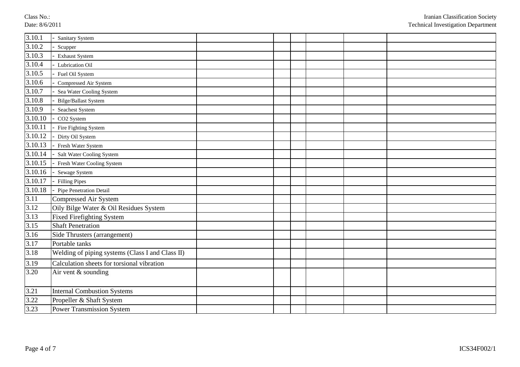Class N o.: Date: 8/6/2011

| 3.10.1               | Sanitary System                                  |  |  |  |
|----------------------|--------------------------------------------------|--|--|--|
| 3.10.2               | Scupper                                          |  |  |  |
| 3.10.3               | <b>Exhaust System</b>                            |  |  |  |
| 3.10.4               | Lubrication Oil                                  |  |  |  |
| 3.10.5               | Fuel Oil System                                  |  |  |  |
| 3.10.6               | Compressed Air System                            |  |  |  |
| 3.10.7               | Sea Water Cooling System                         |  |  |  |
| 3.10.8               | <b>Bilge/Ballast System</b>                      |  |  |  |
| 3.10.9               | Seachest System                                  |  |  |  |
| $\overline{3.10.10}$ | CO <sub>2</sub> System                           |  |  |  |
| 3.10.11              | Fire Fighting System                             |  |  |  |
| 3.10.12              | Dirty Oil System                                 |  |  |  |
| 3.10.13              | Fresh Water System                               |  |  |  |
| 3.10.14              | Salt Water Cooling System                        |  |  |  |
| 3.10.15              | Fresh Water Cooling System                       |  |  |  |
| 3.10.16              | Sewage System                                    |  |  |  |
| 3.10.17              | <b>Filling Pipes</b>                             |  |  |  |
| 3.10.18              | Pipe Penetration Detail                          |  |  |  |
| 3.11                 | Compressed Air System                            |  |  |  |
| 3.12                 | Oily Bilge Water & Oil Residues System           |  |  |  |
| 3.13                 | <b>Fixed Firefighting System</b>                 |  |  |  |
| 3.15                 | <b>Shaft Penetration</b>                         |  |  |  |
| $3.16$               | Side Thrusters (arrangement)                     |  |  |  |
| 3.17                 | Portable tanks                                   |  |  |  |
| 3.18                 | Welding of piping systems (Class I and Class II) |  |  |  |
| 3.19                 | Calculation sheets for torsional vibration       |  |  |  |
| 3.20                 | Air vent & sounding                              |  |  |  |
| 3.21                 | <b>Internal Combustion Systems</b>               |  |  |  |
| 3.22                 | Propeller & Shaft System                         |  |  |  |
| 3.23                 | <b>Power Transmission System</b>                 |  |  |  |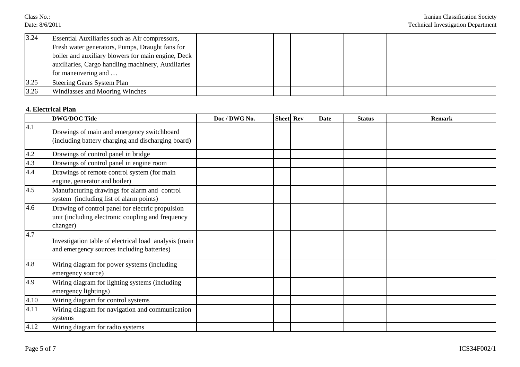Class No.: Date: 8/6/2011

| 3.24 | Essential Auxiliaries such as Air compressors,     |  |  |  |
|------|----------------------------------------------------|--|--|--|
|      | Fresh water generators, Pumps, Draught fans for    |  |  |  |
|      | boiler and auxiliary blowers for main engine, Deck |  |  |  |
|      | auxiliaries, Cargo handling machinery, Auxiliaries |  |  |  |
|      | for maneuvering and                                |  |  |  |
| 3.25 | Steering Gears System Plan                         |  |  |  |
| 3.26 | Windlasses and Mooring Winches                     |  |  |  |

### **4. Electrical Plan**

|      | <b>DWG/DOC Title</b>                                                                                              | Doc / DWG No. | Sheet Rev | Date | <b>Status</b> | <b>Remark</b> |
|------|-------------------------------------------------------------------------------------------------------------------|---------------|-----------|------|---------------|---------------|
| 4.1  | Drawings of main and emergency switchboard<br>(including battery charging and discharging board)                  |               |           |      |               |               |
| 4.2  | Drawings of control panel in bridge                                                                               |               |           |      |               |               |
| 4.3  | Drawings of control panel in engine room                                                                          |               |           |      |               |               |
| 4.4  | Drawings of remote control system (for main<br>engine, generator and boiler)                                      |               |           |      |               |               |
| 4.5  | Manufacturing drawings for alarm and control<br>system (including list of alarm points)                           |               |           |      |               |               |
| 4.6  | Drawing of control panel for electric propulsion<br>unit (including electronic coupling and frequency<br>changer) |               |           |      |               |               |
| 4.7  | Investigation table of electrical load analysis (main<br>and emergency sources including batteries)               |               |           |      |               |               |
| 4.8  | Wiring diagram for power systems (including<br>emergency source)                                                  |               |           |      |               |               |
| 4.9  | Wiring diagram for lighting systems (including<br>emergency lightings)                                            |               |           |      |               |               |
| 4.10 | Wiring diagram for control systems                                                                                |               |           |      |               |               |
| 4.11 | Wiring diagram for navigation and communication<br>systems                                                        |               |           |      |               |               |
| 4.12 | Wiring diagram for radio systems                                                                                  |               |           |      |               |               |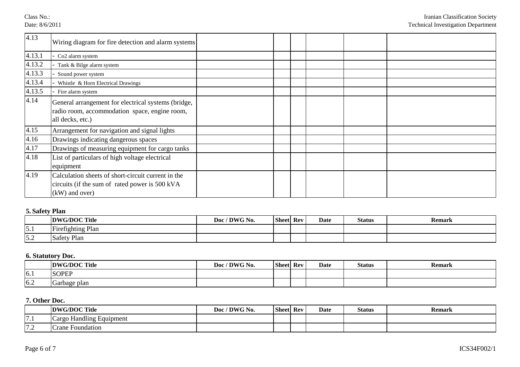Class No.: Date: 8/6/2011

| 4.13   | Wiring diagram for fire detection and alarm systems                                                                      |  |  |  |
|--------|--------------------------------------------------------------------------------------------------------------------------|--|--|--|
| 4.13.1 | Co2 alarm system                                                                                                         |  |  |  |
| 4.13.2 | Tank & Bilge alarm system                                                                                                |  |  |  |
| 4.13.3 | Sound power system                                                                                                       |  |  |  |
| 4.13.4 | Whistle & Horn Electrical Drawings                                                                                       |  |  |  |
| 4.13.5 | Fire alarm system                                                                                                        |  |  |  |
| 4.14   | General arrangement for electrical systems (bridge,<br>radio room, accommodation space, engine room,<br>all decks, etc.) |  |  |  |
| 4.15   | Arrangement for navigation and signal lights                                                                             |  |  |  |
| 4.16   | Drawings indicating dangerous spaces                                                                                     |  |  |  |
| 4.17   | Drawings of measuring equipment for cargo tanks                                                                          |  |  |  |
| 4.18   | List of particulars of high voltage electrical<br>equipment                                                              |  |  |  |
| 4.19   | Calculation sheets of short-circuit current in the<br>circuits (if the sum of rated power is 500 kVA<br>$(kW)$ and over) |  |  |  |

# **5. Safety Plan**

|                    | DWG/DOC Title            | / DWG No.<br>Doc $\prime$ | <b>Sheet</b> Rev | <b>Date</b> | <b>Status</b> | <b>Remark</b> |
|--------------------|--------------------------|---------------------------|------------------|-------------|---------------|---------------|
| $\epsilon$<br>IJ.I | <b>Firefighting Plan</b> |                           |                  |             |               |               |
| 5.2                | Safety Plan              |                           |                  |             |               |               |

### **6. Statutory Doc.**

|     | DWG/DOC Title | / DWG No.<br>Doc. | <b>Sheet</b> | Rev | Date | <b>Status</b> | <b>Remark</b> |
|-----|---------------|-------------------|--------------|-----|------|---------------|---------------|
| 6.1 | <b>SOPEP</b>  |                   |              |     |      |               |               |
| 6.2 | Garbage plan  |                   |              |     |      |               |               |

# **7. Other Doc.**

|                   | DWG/DOC Title                         | / DWG No.<br>Doc <sub>1</sub> | <b>Sheet</b> | Rev | <b>Date</b> | <b>Status</b> | <b>Remark</b> |
|-------------------|---------------------------------------|-------------------------------|--------------|-----|-------------|---------------|---------------|
| --<br>$\cdots$    | 11.<br>de Handling Equipment<br>Cargo |                               |              |     |             |               |               |
| $\mathbf{7}$<br>. | <b>Crane</b><br>Houndation            |                               |              |     |             |               |               |